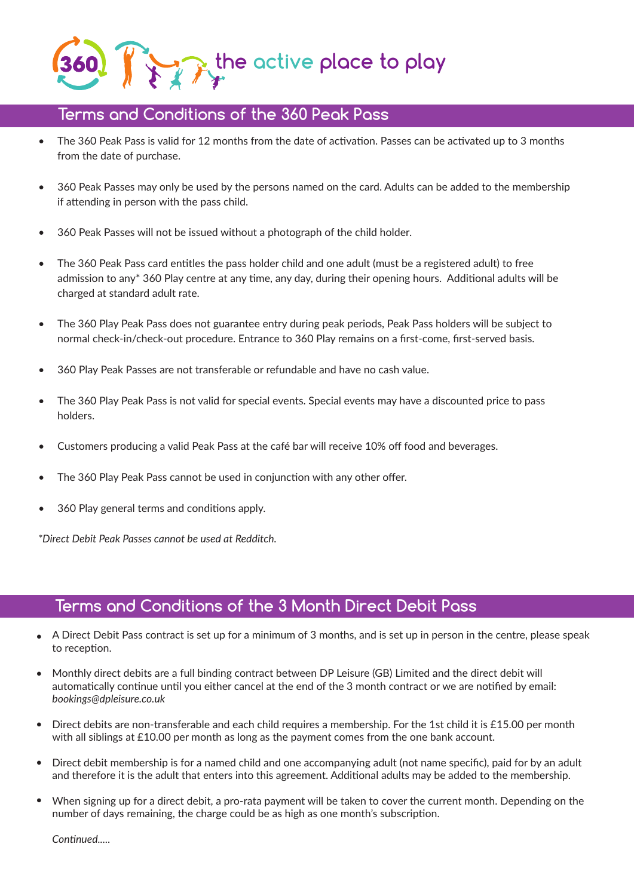## **the active place to play**

## **Terms and Conditions of the 360 Peak Pass**

- The 360 Peak Pass is valid for 12 months from the date of activation. Passes can be activated up to 3 months from the date of purchase.
- 360 Peak Passes may only be used by the persons named on the card. Adults can be added to the membership if attending in person with the pass child.
- 360 Peak Passes will not be issued without a photograph of the child holder.
- The 360 Peak Pass card entitles the pass holder child and one adult (must be a registered adult) to free admission to any\* 360 Play centre at any time, any day, during their opening hours. Additional adults will be charged at standard adult rate.
- The 360 Play Peak Pass does not guarantee entry during peak periods, Peak Pass holders will be subject to normal check-in/check-out procedure. Entrance to 360 Play remains on a first-come, first-served basis.
- 360 Play Peak Passes are not transferable or refundable and have no cash value.
- The 360 Play Peak Pass is not valid for special events. Special events may have a discounted price to pass holders.
- Customers producing a valid Peak Pass at the café bar will receive 10% off food and beverages.
- The 360 Play Peak Pass cannot be used in conjunction with any other offer.
- 360 Play general terms and conditions apply.

*\*Direct Debit Peak Passes cannot be used at Redditch.*

## **Terms and Conditions of the 3 Month Direct Debit Pass**

- A Direct Debit Pass contract is set up for a minimum of 3 months, and is set up in person in the centre, please speak to reception. •
- Monthly direct debits are a full binding contract between DP Leisure (GB) Limited and the direct debit will automatically continue until you either cancel at the end of the 3 month contract or we are notified by email: *bookings@dpleisure.co.uk*
- Direct debits are non-transferable and each child requires a membership. For the 1st child it is £15.00 per month with all siblings at £10.00 per month as long as the payment comes from the one bank account.
- Direct debit membership is for a named child and one accompanying adult (not name specific), paid for by an adult and therefore it is the adult that enters into this agreement. Additional adults may be added to the membership.
- When signing up for a direct debit, a pro-rata payment will be taken to cover the current month. Depending on the number of days remaining, the charge could be as high as one month's subscription.  $\bullet$

*Continued.....*